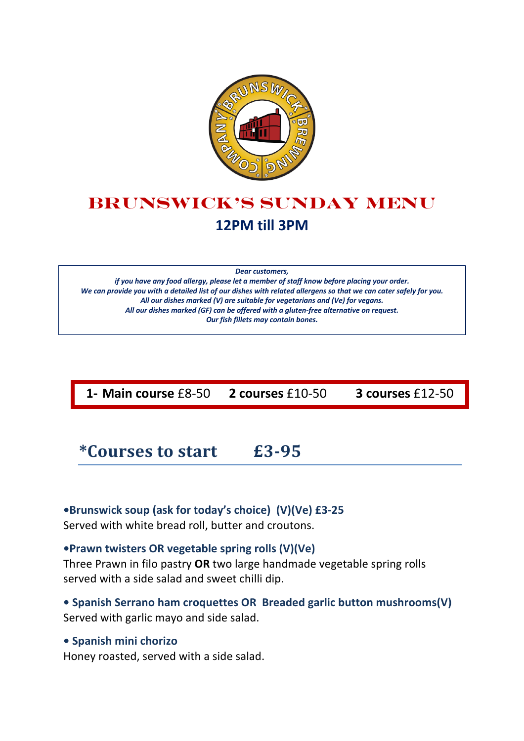

# **Brunswick's Sunday menu 12PM till 3PM**

*Dear customers,*

*if you have any food allergy, please let a member of staff know before placing your order. We can provide you with a detailed list of our dishes with related allergens so that we can cater safely for you. All our dishes marked (V) are suitable for vegetarians and (Ve) for vegans. All our dishes marked (GF) can be offered with a gluten-free alternative on request. Our fish fillets may contain bones.*

**1- Main course** £8-50 **2 courses** £10-50 **3 courses** £12-50

## **\*Courses to start £3-95**

**•Brunswick soup (ask for today's choice) (V)(Ve) £3-25** Served with white bread roll, butter and croutons.

### **•Prawn twisters OR vegetable spring rolls (V)(Ve)**

Three Prawn in filo pastry **OR** two large handmade vegetable spring rolls served with a side salad and sweet chilli dip.

### **• Spanish Serrano ham croquettes OR Breaded garlic button mushrooms(V)** Served with garlic mayo and side salad.

#### **• Spanish mini chorizo**

Honey roasted, served with a side salad.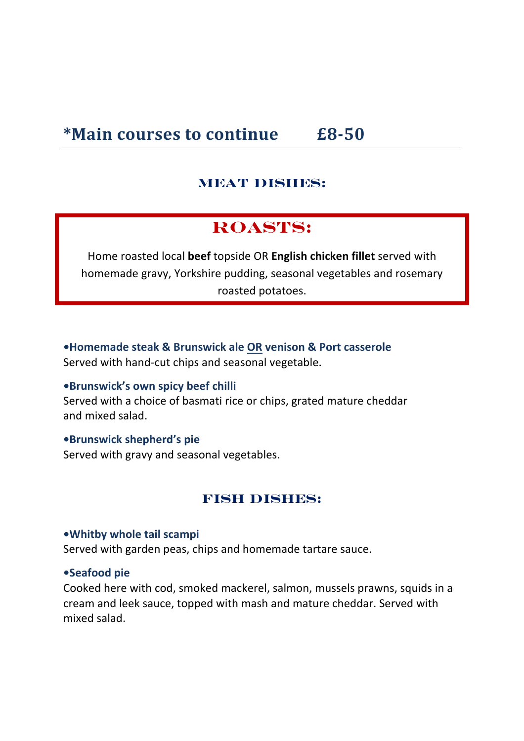## **\*Main courses to continue £8-50**

## **MEAT DISHES:**

## **ROASTs:**

Home roasted local **beef** topside OR **English chicken fillet** served with homemade gravy, Yorkshire pudding, seasonal vegetables and rosemary roasted potatoes.

**•Homemade steak & Brunswick ale OR venison & Port casserole** Served with hand-cut chips and seasonal vegetable.

#### **•Brunswick's own spicy beef chilli**

Served with a choice of basmati rice or chips, grated mature cheddar and mixed salad.

#### **•Brunswick shepherd's pie**

Served with gravy and seasonal vegetables.

### **FISH DISHES:**

#### **•Whitby whole tail scampi**

Served with garden peas, chips and homemade tartare sauce.

#### **•Seafood pie**

Cooked here with cod, smoked mackerel, salmon, mussels prawns, squids in a cream and leek sauce, topped with mash and mature cheddar. Served with mixed salad.